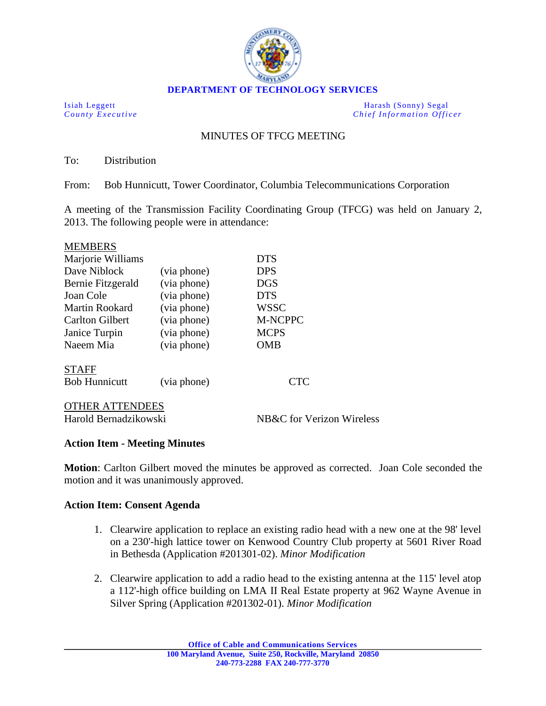

**DEPARTMENT OF TECHNOLOGY SERVICES**

Isiah Leggett Harash (Sonny) Segal<br>
County Executive Chief Information Office *Chief Information Officer* 

## MINUTES OF TFCG MEETING

To: Distribution

From: Bob Hunnicutt, Tower Coordinator, Columbia Telecommunications Corporation

A meeting of the Transmission Facility Coordinating Group (TFCG) was held on January 2, 2013. The following people were in attendance:

| <b>MEMBERS</b>       |             |             |
|----------------------|-------------|-------------|
| Marjorie Williams    |             | <b>DTS</b>  |
| Dave Niblock         | (via phone) | <b>DPS</b>  |
| Bernie Fitzgerald    | (via phone) | <b>DGS</b>  |
| Joan Cole            | (via phone) | <b>DTS</b>  |
| Martin Rookard       | (via phone) | <b>WSSC</b> |
| Carlton Gilbert      | (via phone) | M-NCPPC     |
| Janice Turpin        | (via phone) | <b>MCPS</b> |
| Naeem Mia            | (via phone) | OMB         |
| <b>STAFF</b>         |             |             |
| <b>Bob Hunnicutt</b> | (via phone) | CTC.        |
|                      |             |             |

Harold Bernadzikowski NB&C for Verizon Wireless OTHER ATTENDEES

## **Action Item - Meeting Minutes**

**Motion**: Carlton Gilbert moved the minutes be approved as corrected. Joan Cole seconded the motion and it was unanimously approved.

## **Action Item: Consent Agenda**

- 1. Clearwire application to replace an existing radio head with a new one at the 98' level on a 230'-high lattice tower on Kenwood Country Club property at 5601 River Road in Bethesda (Application #201301-02). *Minor Modification*
- 2. Clearwire application to add a radio head to the existing antenna at the 115' level atop a 112'-high office building on LMA II Real Estate property at 962 Wayne Avenue in Silver Spring (Application #201302-01). *Minor Modification*